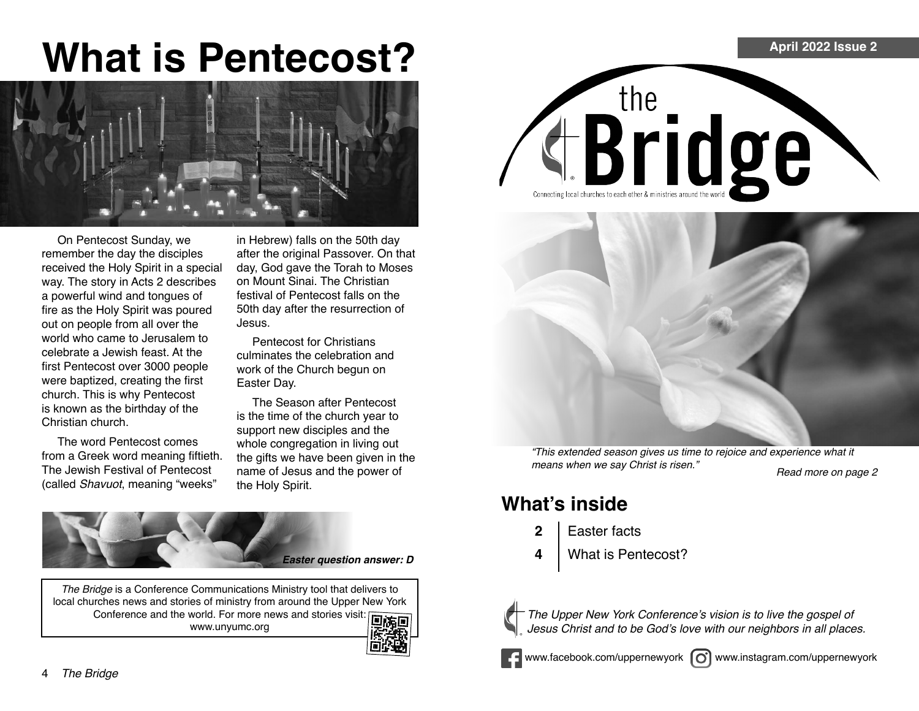# **What is Pentecost?**



On Pentecost Sunday, we remember the day the disciples received the Holy Spirit in a special way. The story in Acts 2 describes a powerful wind and tongues of fire as the Holy Spirit was poured out on people from all over the world who came to Jerusalem to celebrate a Jewish feast. At the first Pentecost over 3000 people were baptized, creating the first church. This is why Pentecost is known as the birthday of the Christian church.

The word Pentecost comes from a Greek word meaning fiftieth. The Jewish Festival of Pentecost (called Shavuot, meaning "weeks"

in Hebrew) falls on the 50th day after the original Passover. On that day, God gave the Torah to Moses on Mount Sinai. The Christian festival of Pentecost falls on the 50th day after the resurrection of Jesus.

Pentecost for Christians culminates the celebration and work of the Church begun on Easter Day.

The Season after Pentecost is the time of the church year to support new disciples and the whole congregation in living out the gifts we have been given in the name of Jesus and the power of the Holy Spirit.



*The Bridge* is a Conference Communications Ministry tool that delivers to local churches news and stories of ministry from around the Upper New York Conference and the world. For more news and stories visit: **in the final structure of the final structure** www.unyumc.org







"This extended season gives us time to rejoice and experience what it means when we say Christ is risen." Read more on page 2

### **What's inside**

- **2** Easter facts
- **4** What is Pentecost?



The Upper New York Conference's vision is to live the gospel of Jesus Christ and to be God's love with our neighbors in all places.

www.facebook.com/uppernewyork (c) www.instagram.com/uppernewyork